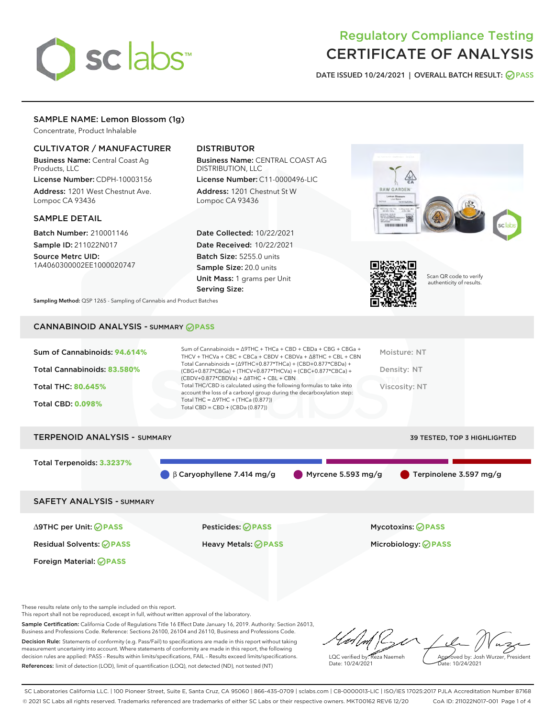

# Regulatory Compliance Testing CERTIFICATE OF ANALYSIS

DATE ISSUED 10/24/2021 | OVERALL BATCH RESULT: @ PASS

# SAMPLE NAME: Lemon Blossom (1g)

Concentrate, Product Inhalable

### CULTIVATOR / MANUFACTURER

Business Name: Central Coast Ag Products, LLC

License Number: CDPH-10003156 Address: 1201 West Chestnut Ave. Lompoc CA 93436

#### SAMPLE DETAIL

Batch Number: 210001146 Sample ID: 211022N017

Source Metrc UID: 1A4060300002EE1000020747

# DISTRIBUTOR

Business Name: CENTRAL COAST AG DISTRIBUTION, LLC License Number: C11-0000496-LIC

Address: 1201 Chestnut St W Lompoc CA 93436

Date Collected: 10/22/2021 Date Received: 10/22/2021 Batch Size: 5255.0 units Sample Size: 20.0 units Unit Mass: 1 grams per Unit Serving Size:





Scan QR code to verify authenticity of results.

Sampling Method: QSP 1265 - Sampling of Cannabis and Product Batches

# CANNABINOID ANALYSIS - SUMMARY **PASS**

| Total Cannabinoids = $(\Delta$ 9THC+0.877*THCa) + (CBD+0.877*CBDa) +<br>Total Cannabinoids: 83.580%<br>Density: NT<br>(CBG+0.877*CBGa) + (THCV+0.877*THCVa) + (CBC+0.877*CBCa) +<br>$(CBDV+0.877*CBDVa) + \Delta 8THC + CBL + CBN$<br>Total THC/CBD is calculated using the following formulas to take into<br><b>Total THC: 80.645%</b><br><b>Viscosity: NT</b><br>account the loss of a carboxyl group during the decarboxylation step:<br>Total THC = $\triangle$ 9THC + (THCa (0.877))<br><b>Total CBD: 0.098%</b><br>Total CBD = $CBD + (CBDa (0.877))$ | Sum of Cannabinoids: 94.614% | Sum of Cannabinoids = ∆9THC + THCa + CBD + CBDa + CBG + CBGa +<br>THCV + THCVa + CBC + CBCa + CBDV + CBDVa + $\Delta$ 8THC + CBL + CBN | Moisture: NT |
|--------------------------------------------------------------------------------------------------------------------------------------------------------------------------------------------------------------------------------------------------------------------------------------------------------------------------------------------------------------------------------------------------------------------------------------------------------------------------------------------------------------------------------------------------------------|------------------------------|----------------------------------------------------------------------------------------------------------------------------------------|--------------|
|                                                                                                                                                                                                                                                                                                                                                                                                                                                                                                                                                              |                              |                                                                                                                                        |              |
|                                                                                                                                                                                                                                                                                                                                                                                                                                                                                                                                                              |                              |                                                                                                                                        |              |
|                                                                                                                                                                                                                                                                                                                                                                                                                                                                                                                                                              |                              | the contract of the contract of                                                                                                        |              |

# TERPENOID ANALYSIS - SUMMARY 39 TESTED, TOP 3 HIGHLIGHTED Total Terpenoids: **3.3237%** β Caryophyllene 7.414 mg/g Myrcene 5.593 mg/g Terpinolene 3.597 mg/g SAFETY ANALYSIS - SUMMARY

∆9THC per Unit: **PASS** Pesticides: **PASS** Mycotoxins: **PASS**

Foreign Material: **PASS**

Residual Solvents: **PASS** Heavy Metals: **PASS** Microbiology: **PASS**

These results relate only to the sample included on this report.

This report shall not be reproduced, except in full, without written approval of the laboratory.

Sample Certification: California Code of Regulations Title 16 Effect Date January 16, 2019. Authority: Section 26013, Business and Professions Code. Reference: Sections 26100, 26104 and 26110, Business and Professions Code. Decision Rule: Statements of conformity (e.g. Pass/Fail) to specifications are made in this report without taking measurement uncertainty into account. Where statements of conformity are made in this report, the following decision rules are applied: PASS – Results within limits/specifications, FAIL – Results exceed limits/specifications.

References: limit of detection (LOD), limit of quantification (LOQ), not detected (ND), not tested (NT)

LQC verified by: Reza Naemeh Date: 10/24/2021 Approved by: Josh Wurzer, President Date: 10/24/2021

SC Laboratories California LLC. | 100 Pioneer Street, Suite E, Santa Cruz, CA 95060 | 866-435-0709 | sclabs.com | C8-0000013-LIC | ISO/IES 17025:2017 PJLA Accreditation Number 87168 © 2021 SC Labs all rights reserved. Trademarks referenced are trademarks of either SC Labs or their respective owners. MKT00162 REV6 12/20 CoA ID: 211022N017-001 Page 1 of 4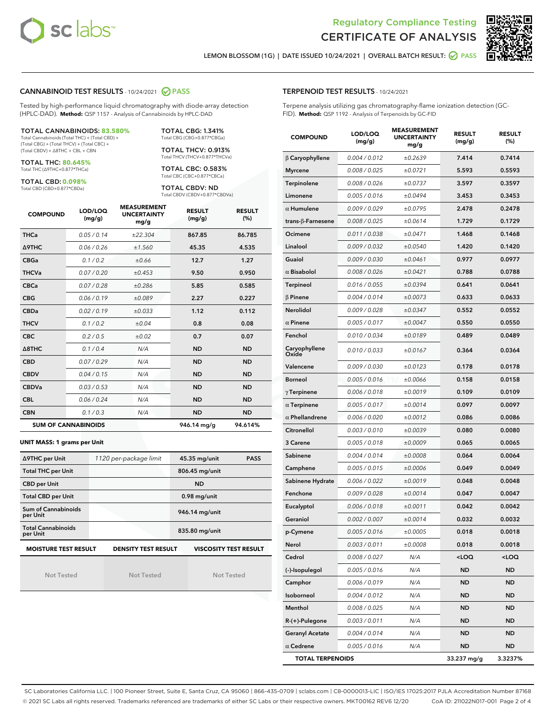



LEMON BLOSSOM (1G) | DATE ISSUED 10/24/2021 | OVERALL BATCH RESULT: **○** PASS

#### CANNABINOID TEST RESULTS - 10/24/2021 2 PASS

Tested by high-performance liquid chromatography with diode-array detection (HPLC-DAD). **Method:** QSP 1157 - Analysis of Cannabinoids by HPLC-DAD

#### TOTAL CANNABINOIDS: **83.580%**

Total Cannabinoids (Total THC) + (Total CBD) + (Total CBG) + (Total THCV) + (Total CBC) + (Total CBDV) + ∆8THC + CBL + CBN

TOTAL THC: **80.645%** Total THC (∆9THC+0.877\*THCa)

TOTAL CBD: **0.098%**

Total CBD (CBD+0.877\*CBDa)

TOTAL CBG: 1.341% Total CBG (CBG+0.877\*CBGa)

TOTAL THCV: 0.913% Total THCV (THCV+0.877\*THCVa)

TOTAL CBC: 0.583% Total CBC (CBC+0.877\*CBCa)

TOTAL CBDV: ND Total CBDV (CBDV+0.877\*CBDVa)

| <b>COMPOUND</b> | LOD/LOQ<br>(mg/g)          | <b>MEASUREMENT</b><br><b>UNCERTAINTY</b><br>mg/g | <b>RESULT</b><br>(mg/g) | <b>RESULT</b><br>(%) |
|-----------------|----------------------------|--------------------------------------------------|-------------------------|----------------------|
| <b>THCa</b>     | 0.05/0.14                  | ±22.304                                          | 867.85                  | 86.785               |
| <b>A9THC</b>    | 0.06 / 0.26                | ±1.560                                           | 45.35                   | 4.535                |
| <b>CBGa</b>     | 0.1 / 0.2                  | ±0.66                                            | 12.7                    | 1.27                 |
| <b>THCVa</b>    | 0.07/0.20                  | ±0.453                                           | 9.50                    | 0.950                |
| <b>CBCa</b>     | 0.07 / 0.28                | ±0.286                                           | 5.85                    | 0.585                |
| <b>CBG</b>      | 0.06/0.19                  | ±0.089                                           | 2.27                    | 0.227                |
| <b>CBDa</b>     | 0.02 / 0.19                | ±0.033                                           | 1.12                    | 0.112                |
| <b>THCV</b>     | 0.1/0.2                    | ±0.04                                            | 0.8                     | 0.08                 |
| <b>CBC</b>      | 0.2 / 0.5                  | ±0.02                                            | 0.7                     | 0.07                 |
| A8THC           | 0.1/0.4                    | N/A                                              | <b>ND</b>               | <b>ND</b>            |
| <b>CBD</b>      | 0.07/0.29                  | N/A                                              | <b>ND</b>               | <b>ND</b>            |
| <b>CBDV</b>     | 0.04 / 0.15                | N/A                                              | <b>ND</b>               | <b>ND</b>            |
| <b>CBDVa</b>    | 0.03 / 0.53                | N/A                                              | <b>ND</b>               | <b>ND</b>            |
| <b>CBL</b>      | 0.06 / 0.24                | N/A                                              | <b>ND</b>               | <b>ND</b>            |
| <b>CBN</b>      | 0.1 / 0.3                  | N/A                                              | <b>ND</b>               | <b>ND</b>            |
|                 | <b>SUM OF CANNABINOIDS</b> |                                                  | 946.14 mg/g             | 94.614%              |

#### **UNIT MASS: 1 grams per Unit**

| ∆9THC per Unit                        | 1120 per-package limit     | 45.35 mg/unit<br><b>PASS</b> |
|---------------------------------------|----------------------------|------------------------------|
| <b>Total THC per Unit</b>             |                            | 806.45 mg/unit               |
| <b>CBD per Unit</b>                   |                            | <b>ND</b>                    |
| <b>Total CBD per Unit</b>             |                            | $0.98$ mg/unit               |
| Sum of Cannabinoids<br>per Unit       |                            | 946.14 mg/unit               |
| <b>Total Cannabinoids</b><br>per Unit |                            | 835.80 mg/unit               |
| <b>MOISTURE TEST RESULT</b>           | <b>DENSITY TEST RESULT</b> | <b>VISCOSITY TEST RESULT</b> |

Not Tested

Not Tested

Not Tested

#### TERPENOID TEST RESULTS - 10/24/2021

Terpene analysis utilizing gas chromatography-flame ionization detection (GC-FID). **Method:** QSP 1192 - Analysis of Terpenoids by GC-FID

| <b>COMPOUND</b>           | LOD/LOQ<br>(mg/g) | <b>MEASUREMENT</b><br><b>UNCERTAINTY</b><br>mg/g | <b>RESULT</b><br>(mg/g)                         | <b>RESULT</b><br>$(\%)$ |
|---------------------------|-------------------|--------------------------------------------------|-------------------------------------------------|-------------------------|
| $\beta$ Caryophyllene     | 0.004 / 0.012     | ±0.2639                                          | 7.414                                           | 0.7414                  |
| <b>Myrcene</b>            | 0.008 / 0.025     | ±0.0721                                          | 5.593                                           | 0.5593                  |
| Terpinolene               | 0.008 / 0.026     | ±0.0737                                          | 3.597                                           | 0.3597                  |
| Limonene                  | 0.005 / 0.016     | ±0.0494                                          | 3.453                                           | 0.3453                  |
| $\alpha$ Humulene         | 0.009 / 0.029     | ±0.0795                                          | 2.478                                           | 0.2478                  |
| trans- $\beta$ -Farnesene | 0.008 / 0.025     | ±0.0614                                          | 1.729                                           | 0.1729                  |
| Ocimene                   | 0.011 / 0.038     | ±0.0471                                          | 1.468                                           | 0.1468                  |
| Linalool                  | 0.009 / 0.032     | ±0.0540                                          | 1.420                                           | 0.1420                  |
| Guaiol                    | 0.009 / 0.030     | ±0.0461                                          | 0.977                                           | 0.0977                  |
| $\alpha$ Bisabolol        | 0.008 / 0.026     | ±0.0421                                          | 0.788                                           | 0.0788                  |
| <b>Terpineol</b>          | 0.016 / 0.055     | ±0.0394                                          | 0.641                                           | 0.0641                  |
| $\beta$ Pinene            | 0.004 / 0.014     | ±0.0073                                          | 0.633                                           | 0.0633                  |
| <b>Nerolidol</b>          | 0.009 / 0.028     | ±0.0347                                          | 0.552                                           | 0.0552                  |
| $\alpha$ Pinene           | 0.005 / 0.017     | ±0.0047                                          | 0.550                                           | 0.0550                  |
| Fenchol                   | 0.010 / 0.034     | ±0.0189                                          | 0.489                                           | 0.0489                  |
| Caryophyllene<br>Oxide    | 0.010 / 0.033     | ±0.0167                                          | 0.364                                           | 0.0364                  |
| Valencene                 | 0.009 / 0.030     | ±0.0123                                          | 0.178                                           | 0.0178                  |
| <b>Borneol</b>            | 0.005 / 0.016     | ±0.0066                                          | 0.158                                           | 0.0158                  |
| $\gamma$ Terpinene        | 0.006 / 0.018     | ±0.0019                                          | 0.109                                           | 0.0109                  |
| $\alpha$ Terpinene        | 0.005 / 0.017     | ±0.0014                                          | 0.097                                           | 0.0097                  |
| $\alpha$ Phellandrene     | 0.006 / 0.020     | ±0.0012                                          | 0.086                                           | 0.0086                  |
| Citronellol               | 0.003 / 0.010     | ±0.0039                                          | 0.080                                           | 0.0080                  |
| 3 Carene                  | 0.005 / 0.018     | ±0.0009                                          | 0.065                                           | 0.0065                  |
| Sabinene                  | 0.004 / 0.014     | ±0.0008                                          | 0.064                                           | 0.0064                  |
| Camphene                  | 0.005 / 0.015     | ±0.0006                                          | 0.049                                           | 0.0049                  |
| Sabinene Hydrate          | 0.006 / 0.022     | ±0.0019                                          | 0.048                                           | 0.0048                  |
| Fenchone                  | 0.009 / 0.028     | ±0.0014                                          | 0.047                                           | 0.0047                  |
| Eucalyptol                | 0.006 / 0.018     | ±0.0011                                          | 0.042                                           | 0.0042                  |
| Geraniol                  | 0.002 / 0.007     | ±0.0014                                          | 0.032                                           | 0.0032                  |
| p-Cymene                  | 0.005 / 0.016     | ±0.0005                                          | 0.018                                           | 0.0018                  |
| Nerol                     | 0.003 / 0.011     | ±0.0008                                          | 0.018                                           | 0.0018                  |
| Cedrol                    | 0.008 / 0.027     | N/A                                              | <loq< th=""><th><loq< th=""></loq<></th></loq<> | <loq< th=""></loq<>     |
| (-)-Isopulegol            | 0.005 / 0.016     | N/A                                              | ND                                              | ND                      |
| Camphor                   | 0.006 / 0.019     | N/A                                              | <b>ND</b>                                       | ND                      |
| Isoborneol                | 0.004 / 0.012     | N/A                                              | ND                                              | ND                      |
| Menthol                   | 0.008 / 0.025     | N/A                                              | ND                                              | ND                      |
| R-(+)-Pulegone            | 0.003 / 0.011     | N/A                                              | ND                                              | ND                      |
| <b>Geranyl Acetate</b>    | 0.004 / 0.014     | N/A                                              | ND                                              | ND                      |
| $\alpha$ Cedrene          | 0.005 / 0.016     | N/A                                              | ND                                              | <b>ND</b>               |
| <b>TOTAL TERPENOIDS</b>   |                   |                                                  | 33.237 mg/g                                     | 3.3237%                 |

SC Laboratories California LLC. | 100 Pioneer Street, Suite E, Santa Cruz, CA 95060 | 866-435-0709 | sclabs.com | C8-0000013-LIC | ISO/IES 17025:2017 PJLA Accreditation Number 87168 © 2021 SC Labs all rights reserved. Trademarks referenced are trademarks of either SC Labs or their respective owners. MKT00162 REV6 12/20 CoA ID: 211022N017-001 Page 2 of 4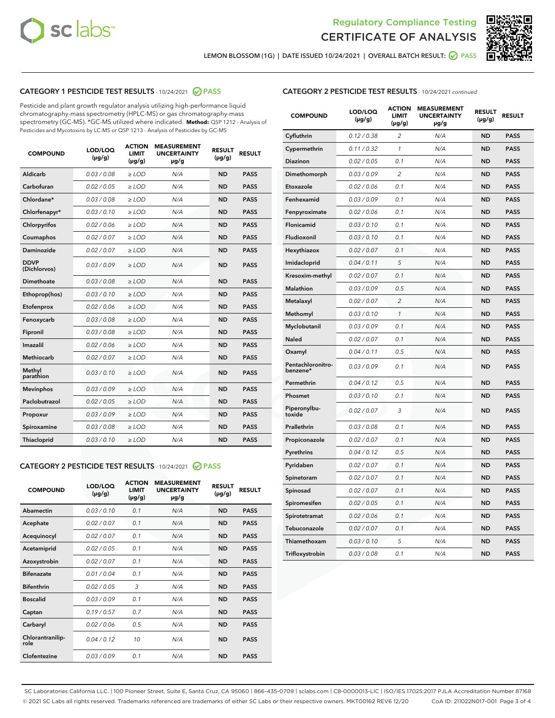



LEMON BLOSSOM (1G) | DATE ISSUED 10/24/2021 | OVERALL BATCH RESULT: @ PASS

# CATEGORY 1 PESTICIDE TEST RESULTS - 10/24/2021 2 PASS

Pesticide and plant growth regulator analysis utilizing high-performance liquid chromatography-mass spectrometry (HPLC-MS) or gas chromatography-mass spectrometry (GC-MS). \*GC-MS utilized where indicated. **Method:** QSP 1212 - Analysis of Pesticides and Mycotoxins by LC-MS or QSP 1213 - Analysis of Pesticides by GC-MS

| <b>COMPOUND</b>             | LOD/LOQ<br>$(\mu g/g)$ | <b>ACTION</b><br><b>LIMIT</b><br>$(\mu g/g)$ | <b>MEASUREMENT</b><br><b>UNCERTAINTY</b><br>µg/g | <b>RESULT</b><br>$(\mu g/g)$ | <b>RESULT</b> |
|-----------------------------|------------------------|----------------------------------------------|--------------------------------------------------|------------------------------|---------------|
| Aldicarb                    | 0.03 / 0.08            | $\geq$ LOD                                   | N/A                                              | <b>ND</b>                    | <b>PASS</b>   |
| Carbofuran                  | 0.02/0.05              | $\ge$ LOD                                    | N/A                                              | <b>ND</b>                    | <b>PASS</b>   |
| Chlordane*                  | 0.03 / 0.08            | $\ge$ LOD                                    | N/A                                              | <b>ND</b>                    | <b>PASS</b>   |
| Chlorfenapyr*               | 0.03/0.10              | $\ge$ LOD                                    | N/A                                              | <b>ND</b>                    | <b>PASS</b>   |
| Chlorpyrifos                | 0.02 / 0.06            | $\ge$ LOD                                    | N/A                                              | <b>ND</b>                    | <b>PASS</b>   |
| Coumaphos                   | 0.02 / 0.07            | $\ge$ LOD                                    | N/A                                              | <b>ND</b>                    | <b>PASS</b>   |
| Daminozide                  | 0.02 / 0.07            | $\ge$ LOD                                    | N/A                                              | <b>ND</b>                    | <b>PASS</b>   |
| <b>DDVP</b><br>(Dichlorvos) | 0.03/0.09              | $\ge$ LOD                                    | N/A                                              | <b>ND</b>                    | <b>PASS</b>   |
| Dimethoate                  | 0.03/0.08              | $\ge$ LOD                                    | N/A                                              | <b>ND</b>                    | <b>PASS</b>   |
| Ethoprop(hos)               | 0.03/0.10              | $\ge$ LOD                                    | N/A                                              | <b>ND</b>                    | <b>PASS</b>   |
| Etofenprox                  | 0.02 / 0.06            | $\ge$ LOD                                    | N/A                                              | <b>ND</b>                    | <b>PASS</b>   |
| Fenoxycarb                  | 0.03/0.08              | $\ge$ LOD                                    | N/A                                              | <b>ND</b>                    | <b>PASS</b>   |
| Fipronil                    | 0.03 / 0.08            | $\ge$ LOD                                    | N/A                                              | <b>ND</b>                    | <b>PASS</b>   |
| Imazalil                    | 0.02 / 0.06            | $\ge$ LOD                                    | N/A                                              | <b>ND</b>                    | <b>PASS</b>   |
| <b>Methiocarb</b>           | 0.02 / 0.07            | $\ge$ LOD                                    | N/A                                              | <b>ND</b>                    | <b>PASS</b>   |
| Methyl<br>parathion         | 0.03/0.10              | $\ge$ LOD                                    | N/A                                              | <b>ND</b>                    | <b>PASS</b>   |
| <b>Mevinphos</b>            | 0.03/0.09              | $\ge$ LOD                                    | N/A                                              | <b>ND</b>                    | <b>PASS</b>   |
| Paclobutrazol               | 0.02 / 0.05            | $\ge$ LOD                                    | N/A                                              | <b>ND</b>                    | <b>PASS</b>   |
| Propoxur                    | 0.03/0.09              | $\ge$ LOD                                    | N/A                                              | <b>ND</b>                    | <b>PASS</b>   |
| Spiroxamine                 | 0.03 / 0.08            | $\ge$ LOD                                    | N/A                                              | <b>ND</b>                    | <b>PASS</b>   |
| <b>Thiacloprid</b>          | 0.03/0.10              | $\ge$ LOD                                    | N/A                                              | <b>ND</b>                    | <b>PASS</b>   |
|                             |                        |                                              |                                                  |                              |               |

# CATEGORY 2 PESTICIDE TEST RESULTS - 10/24/2021 @ PASS

| <b>COMPOUND</b>          | LOD/LOQ<br>$(\mu g/g)$ | <b>ACTION</b><br>LIMIT<br>$(\mu g/g)$ | <b>MEASUREMENT</b><br><b>UNCERTAINTY</b><br>$\mu$ g/g | <b>RESULT</b><br>$(\mu g/g)$ | <b>RESULT</b> |
|--------------------------|------------------------|---------------------------------------|-------------------------------------------------------|------------------------------|---------------|
| Abamectin                | 0.03/0.10              | 0.1                                   | N/A                                                   | <b>ND</b>                    | <b>PASS</b>   |
| Acephate                 | 0.02/0.07              | 0.1                                   | N/A                                                   | <b>ND</b>                    | <b>PASS</b>   |
| Acequinocyl              | 0.02/0.07              | 0.1                                   | N/A                                                   | <b>ND</b>                    | <b>PASS</b>   |
| Acetamiprid              | 0.02 / 0.05            | 0.1                                   | N/A                                                   | <b>ND</b>                    | <b>PASS</b>   |
| Azoxystrobin             | 0.02/0.07              | 0.1                                   | N/A                                                   | <b>ND</b>                    | <b>PASS</b>   |
| <b>Bifenazate</b>        | 0.01/0.04              | 0.1                                   | N/A                                                   | <b>ND</b>                    | <b>PASS</b>   |
| <b>Bifenthrin</b>        | 0.02 / 0.05            | 3                                     | N/A                                                   | <b>ND</b>                    | <b>PASS</b>   |
| <b>Boscalid</b>          | 0.03/0.09              | 0.1                                   | N/A                                                   | <b>ND</b>                    | <b>PASS</b>   |
| Captan                   | 0.19/0.57              | 0.7                                   | N/A                                                   | <b>ND</b>                    | <b>PASS</b>   |
| Carbaryl                 | 0.02/0.06              | 0.5                                   | N/A                                                   | <b>ND</b>                    | <b>PASS</b>   |
| Chlorantranilip-<br>role | 0.04/0.12              | 10                                    | N/A                                                   | <b>ND</b>                    | <b>PASS</b>   |
| Clofentezine             | 0.03/0.09              | 0.1                                   | N/A                                                   | <b>ND</b>                    | <b>PASS</b>   |

| <b>CATEGORY 2 PESTICIDE TEST RESULTS</b> - 10/24/2021 continued |
|-----------------------------------------------------------------|
|-----------------------------------------------------------------|

| <b>COMPOUND</b>               | LOD/LOQ<br>$(\mu g/g)$ | <b>ACTION</b><br><b>LIMIT</b><br>(µg/g) | <b>MEASUREMENT</b><br><b>UNCERTAINTY</b><br>µg/g | <b>RESULT</b><br>$(\mu g/g)$ | <b>RESULT</b> |
|-------------------------------|------------------------|-----------------------------------------|--------------------------------------------------|------------------------------|---------------|
| Cyfluthrin                    | 0.12 / 0.38            | $\overline{c}$                          | N/A                                              | ND                           | <b>PASS</b>   |
| Cypermethrin                  | 0.11 / 0.32            | 1                                       | N/A                                              | <b>ND</b>                    | <b>PASS</b>   |
| Diazinon                      | 0.02 / 0.05            | 0.1                                     | N/A                                              | <b>ND</b>                    | <b>PASS</b>   |
| Dimethomorph                  | 0.03 / 0.09            | 2                                       | N/A                                              | ND                           | <b>PASS</b>   |
| Etoxazole                     | 0.02 / 0.06            | 0.1                                     | N/A                                              | <b>ND</b>                    | <b>PASS</b>   |
| Fenhexamid                    | 0.03 / 0.09            | 0.1                                     | N/A                                              | ND                           | <b>PASS</b>   |
| Fenpyroximate                 | 0.02 / 0.06            | 0.1                                     | N/A                                              | ND                           | <b>PASS</b>   |
| Flonicamid                    | 0.03 / 0.10            | 0.1                                     | N/A                                              | <b>ND</b>                    | <b>PASS</b>   |
| Fludioxonil                   | 0.03 / 0.10            | 0.1                                     | N/A                                              | ND                           | <b>PASS</b>   |
| Hexythiazox                   | 0.02 / 0.07            | 0.1                                     | N/A                                              | ND                           | <b>PASS</b>   |
| Imidacloprid                  | 0.04 / 0.11            | 5                                       | N/A                                              | ND                           | <b>PASS</b>   |
| Kresoxim-methyl               | 0.02 / 0.07            | 0.1                                     | N/A                                              | ND                           | <b>PASS</b>   |
| <b>Malathion</b>              | 0.03 / 0.09            | 0.5                                     | N/A                                              | <b>ND</b>                    | <b>PASS</b>   |
| Metalaxyl                     | 0.02 / 0.07            | $\overline{c}$                          | N/A                                              | <b>ND</b>                    | <b>PASS</b>   |
| Methomyl                      | 0.03 / 0.10            | $\mathbf{1}$                            | N/A                                              | ND                           | <b>PASS</b>   |
| Myclobutanil                  | 0.03 / 0.09            | 0.1                                     | N/A                                              | <b>ND</b>                    | <b>PASS</b>   |
| Naled                         | 0.02 / 0.07            | 0.1                                     | N/A                                              | <b>ND</b>                    | <b>PASS</b>   |
| Oxamyl                        | 0.04 / 0.11            | 0.5                                     | N/A                                              | ND                           | <b>PASS</b>   |
| Pentachloronitro-<br>benzene* | 0.03 / 0.09            | 0.1                                     | N/A                                              | ND                           | <b>PASS</b>   |
| Permethrin                    | 0.04 / 0.12            | 0.5                                     | N/A                                              | ND                           | <b>PASS</b>   |
| Phosmet                       | 0.03 / 0.10            | 0.1                                     | N/A                                              | <b>ND</b>                    | <b>PASS</b>   |
| Piperonylbu-<br>toxide        | 0.02 / 0.07            | 3                                       | N/A                                              | <b>ND</b>                    | <b>PASS</b>   |
| Prallethrin                   | 0.03 / 0.08            | 0.1                                     | N/A                                              | ND                           | <b>PASS</b>   |
| Propiconazole                 | 0.02 / 0.07            | 0.1                                     | N/A                                              | ND                           | <b>PASS</b>   |
| Pyrethrins                    | 0.04 / 0.12            | 0.5                                     | N/A                                              | <b>ND</b>                    | <b>PASS</b>   |
| Pyridaben                     | 0.02 / 0.07            | 0.1                                     | N/A                                              | ND                           | <b>PASS</b>   |
| Spinetoram                    | 0.02 / 0.07            | 0.1                                     | N/A                                              | ND                           | <b>PASS</b>   |
| Spinosad                      | 0.02 / 0.07            | 0.1                                     | N/A                                              | ND                           | <b>PASS</b>   |
| Spiromesifen                  | 0.02 / 0.05            | 0.1                                     | N/A                                              | ND                           | <b>PASS</b>   |
| Spirotetramat                 | 0.02 / 0.06            | 0.1                                     | N/A                                              | ND                           | <b>PASS</b>   |
| Tebuconazole                  | 0.02 / 0.07            | 0.1                                     | N/A                                              | ND                           | <b>PASS</b>   |
| Thiamethoxam                  | 0.03 / 0.10            | 5                                       | N/A                                              | ND                           | <b>PASS</b>   |
| Trifloxystrobin               | 0.03 / 0.08            | 0.1                                     | N/A                                              | <b>ND</b>                    | <b>PASS</b>   |

SC Laboratories California LLC. | 100 Pioneer Street, Suite E, Santa Cruz, CA 95060 | 866-435-0709 | sclabs.com | C8-0000013-LIC | ISO/IES 17025:2017 PJLA Accreditation Number 87168 © 2021 SC Labs all rights reserved. Trademarks referenced are trademarks of either SC Labs or their respective owners. MKT00162 REV6 12/20 CoA ID: 211022N017-001 Page 3 of 4